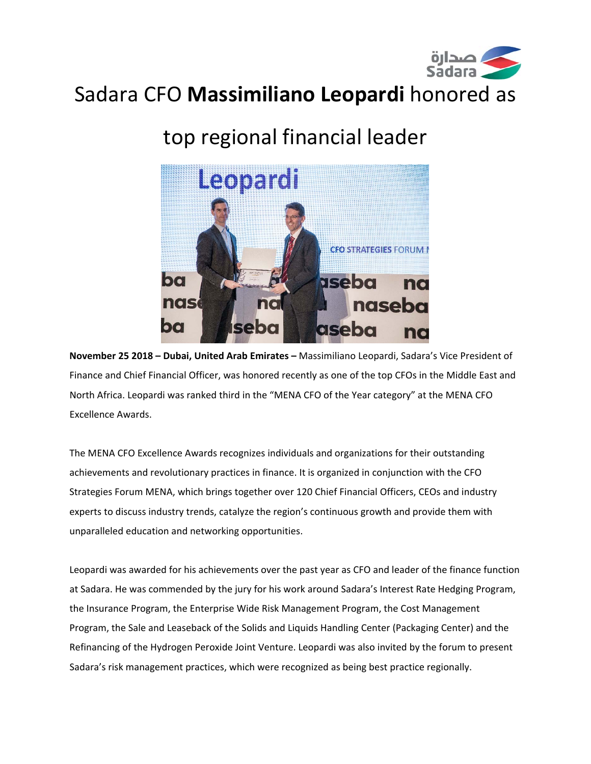

## Sadara CFO **Massimiliano Leopardi** honored as

# top regional financial leader



**November 25 2018 – Dubai, United Arab Emirates –** Massimiliano Leopardi, Sadara's Vice President of Finance and Chief Financial Officer, was honored recently as one of the top CFOs in the Middle East and North Africa. Leopardi was ranked third in the "MENA CFO of the Year category" at the MENA CFO Excellence Awards.

The MENA CFO Excellence Awards recognizes individuals and organizations for their outstanding achievements and revolutionary practices in finance. It is organized in conjunction with the CFO Strategies Forum MENA, which brings together over 120 Chief Financial Officers, CEOs and industry experts to discuss industry trends, catalyze the region's continuous growth and provide them with unparalleled education and networking opportunities.

Leopardi was awarded for his achievements over the past year as CFO and leader of the finance function at Sadara. He was commended by the jury for his work around Sadara's Interest Rate Hedging Program, the Insurance Program, the Enterprise Wide Risk Management Program, the Cost Management Program, the Sale and Leaseback of the Solids and Liquids Handling Center (Packaging Center) and the Refinancing of the Hydrogen Peroxide Joint Venture. Leopardi was also invited by the forum to present Sadara's risk management practices, which were recognized as being best practice regionally.